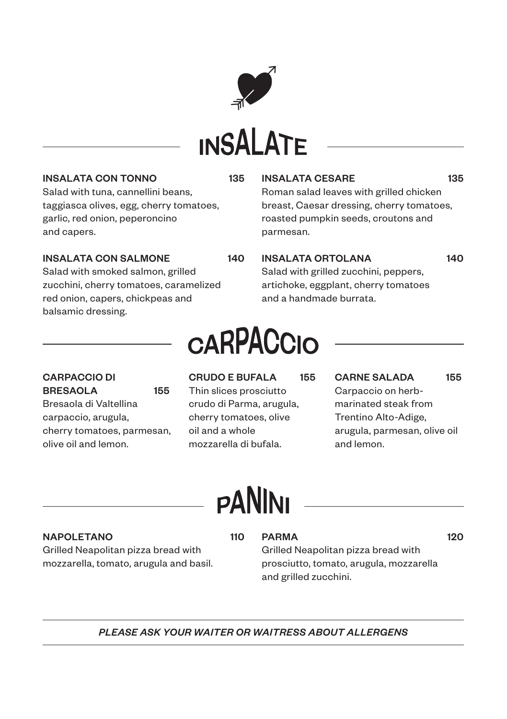

# **INSALATE**

#### INSALATA CON TONNO 135

Salad with tuna, cannellini beans, taggiasca olives, egg, cherry tomatoes, garlic, red onion, peperoncino and capers.

### INSALATA CON SALMONE 140

Salad with smoked salmon, grilled zucchini, cherry tomatoes, caramelized red onion, capers, chickpeas and balsamic dressing.

### INSALATA CESARE 135

Roman salad leaves with grilled chicken breast, Caesar dressing, cherry tomatoes, roasted pumpkin seeds, croutons and parmesan.

### INSALATA ORTOLANA 140

Salad with grilled zucchini, peppers, artichoke, eggplant, cherry tomatoes and a handmade burrata.

## **CARPACCIO**

CARPACCIO DI BRESAOLA 155 Bresaola di Valtellina carpaccio, arugula, cherry tomatoes, parmesan, olive oil and lemon.

CRUDO E BUFALA 155 Thin slices prosciutto crudo di Parma, arugula, cherry tomatoes, olive oil and a whole mozzarella di bufala.

CARNE SALADA 155 Carpaccio on herbmarinated steak from Trentino Alto-Adige, arugula, parmesan, olive oil and lemon.

## **PANINI**

#### NAPOLETANO 110

Grilled Neapolitan pizza bread with mozzarella, tomato, arugula and basil.

### PARMA 120

Grilled Neapolitan pizza bread with prosciutto, tomato, arugula, mozzarella and grilled zucchini.

### *PLEASE ASK YOUR WAITER OR WAITRESS ABOUT ALLERGENS*